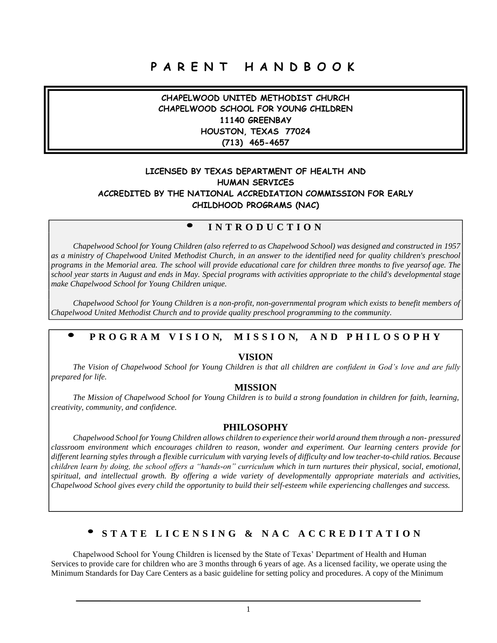# **P A R E N T H A N D B O O K**

**CHAPELWOOD UNITED METHODIST CHURCH CHAPELWOOD SCHOOL FOR YOUNG CHILDREN 11140 GREENBAY HOUSTON, TEXAS 77024 (713) 465-4657**

#### **LICENSED BY TEXAS DEPARTMENT OF HEALTH AND HUMAN SERVICES ACCREDITED BY THE NATIONAL ACCREDIATION COMMISSION FOR EARLY CHILDHOOD PROGRAMS (NAC)**

### **I N T R O D U C T I O N**

 $\bullet$ 

*Chapelwood School for Young Children (also referred to as Chapelwood School) was designed and constructed in 1957 as a ministry of Chapelwood United Methodist Church, in an answer to the identified need for quality children's preschool* programs in the Memorial area. The school will provide educational care for children three months to five yearsof age. The *school year starts in August and ends in May. Special programs with activities appropriate to the child's developmental stage make Chapelwood School for Young Children unique.*

*Chapelwood School for Young Children is a non-profit, non-governmental program which exists to benefit members of Chapelwood United Methodist Church and to provide quality preschool programming to the community.*

#### $\bullet$ PROGRAM VISION, MISSION, AND PHILOSOPHY

#### **VISION**

*The Vision of Chapelwood School for Young Children is that all children are confident in God's love and are fully prepared for life.*

#### **MISSION**

*The Mission of Chapelwood School for Young Children is to build a strong foundation in children for faith, learning, creativity, community, and confidence.*

#### **PHILOSOPHY**

*Chapelwood School for Young Children allows children to experience their world around them through a non- pressured classroom environment which encourages children to reason, wonder and experiment. Our learning centers provide for different learning styles through a flexible curriculum with varying levels of difficulty and low teacher-to-child ratios. Because children learn by doing, the school offers a "hands-on" curriculum which in turn nurtures their physical, social, emotional, spiritual, and intellectual growth. By offering a wide variety of developmentally appropriate materials and activities, Chapelwood School gives every child the opportunity to build their self-esteem while experiencing challenges and success.*

### STATE LICENSING & NAC ACCREDITATION

Chapelwood School for Young Children is licensed by the State of Texas' Department of Health and Human Services to provide care for children who are 3 months through 6 years of age. As a licensed facility, we operate using the Minimum Standards for Day Care Centers as a basic guideline for setting policy and procedures. A copy of the Minimum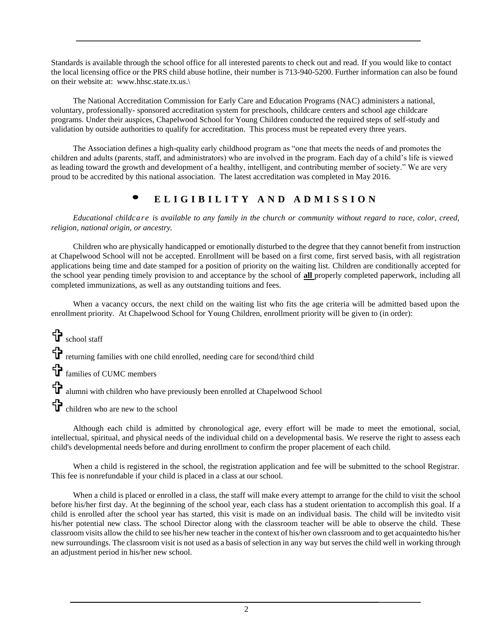Standards is available through the school office for all interested parents to check out and read. If you would like to contact the local licensing office or the PRS child abuse hotline, their number is 713-940-5200. Further information can also be found on their website at: www.hhsc.state.tx.us.\

The National Accreditation Commission for Early Care and Education Programs (NAC) administers a national, voluntary, professionally- sponsored accreditation system for preschools, childcare centers and school age childcare programs. Under their auspices, Chapelwood School for Young Children conducted the required steps of self-study and validation by outside authorities to qualify for accreditation. This process must be repeated every three years.

The Association defines a high-quality early childhood program as "one that meets the needs of and promotes the children and adults (parents, staff, and administrators) who are involved in the program. Each day of a child's life is viewed as leading toward the growth and development of a healthy, intelligent, and contributing member of society." We are very proud to be accredited by this national association. The latest accreditation was completed in May 2016.

## **• <sup>E</sup> <sup>L</sup> <sup>I</sup> <sup>G</sup> <sup>I</sup> <sup>B</sup> <sup>I</sup> <sup>L</sup> <sup>I</sup> <sup>T</sup> <sup>Y</sup> <sup>A</sup> <sup>N</sup> <sup>D</sup> <sup>A</sup> <sup>D</sup> <sup>M</sup> <sup>I</sup> <sup>S</sup> <sup>S</sup> <sup>I</sup> <sup>O</sup> <sup>N</sup>**

Educational childcare is available to any family in the church or community without regard to race, color, creed, *religion, national origin, or ancestry.*

Children who are physically handicapped or emotionally disturbed to the degree that they cannot benefit from instruction at Chapelwood School will not be accepted. Enrollment will be based on a first come, first served basis, with all registration applications being time and date stamped for a position of priority on the waiting list. Children are conditionally accepted for the school year pending timely provision to and acceptance by the school of **all** properly completed paperwork, including all completed immunizations, as well as any outstanding tuitions and fees.

When a vacancy occurs, the next child on the waiting list who fits the age criteria will be admitted based upon the enrollment priority. At Chapelwood School for Young Children, enrollment priority will be given to (in order):

school staff returning families with one child enrolled, needing care for second/third child

families of CUMC members

alumni with children who have previously been enrolled at Chapelwood School

children who are new to the school

Although each child is admitted by chronological age, every effort will be made to meet the emotional, social, intellectual, spiritual, and physical needs of the individual child on a developmental basis. We reserve the right to assess each child's developmental needs before and during enrollment to confirm the proper placement of each child.

When a child is registered in the school, the registration application and fee will be submitted to the school Registrar. This fee is nonrefundable if your child is placed in a class at our school.

When a child is placed or enrolled in a class, the staff will make every attempt to arrange for the child to visit the school before his/her first day. At the beginning of the school year, each class has a student orientation to accomplish this goal. If a child is enrolled after the school year has started, this visit is made on an individual basis. The child will be invitedto visit his/her potential new class. The school Director along with the classroom teacher will be able to observe the child. These classroom visits allow the child to see his/her new teacher in the context of his/her own classroom and to get acquaintedto his/her new surroundings. The classroom visit is not used as a basis of selection in any way but serves the child well in working through an adjustment period in his/her new school.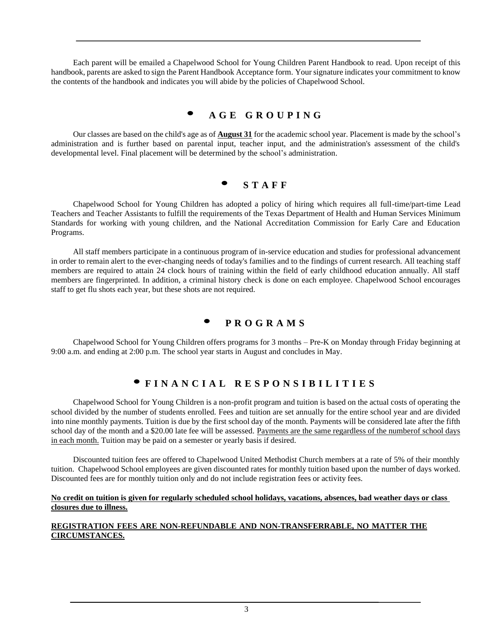Each parent will be emailed a Chapelwood School for Young Children Parent Handbook to read. Upon receipt of this handbook, parents are asked to sign the Parent Handbook Acceptance form. Your signature indicates your commitment to know the contents of the handbook and indicates you will abide by the policies of Chapelwood School.

## **• <sup>A</sup> <sup>G</sup> <sup>E</sup> <sup>G</sup> <sup>R</sup> <sup>O</sup> <sup>U</sup> <sup>P</sup> <sup>I</sup> <sup>N</sup> <sup>G</sup>**

Our classes are based on the child's age as of **August 31** for the academic school year. Placement is made by the school's administration and is further based on parental input, teacher input, and the administration's assessment of the child's developmental level. Final placement will be determined by the school's administration.

### **• <sup>S</sup> <sup>T</sup> <sup>A</sup> <sup>F</sup> <sup>F</sup>**

Chapelwood School for Young Children has adopted a policy of hiring which requires all full-time/part-time Lead Teachers and Teacher Assistants to fulfill the requirements of the Texas Department of Health and Human Services Minimum Standards for working with young children, and the National Accreditation Commission for Early Care and Education Programs.

All staff members participate in a continuous program of in-service education and studies for professional advancement in order to remain alert to the ever-changing needs of today's families and to the findings of current research. All teaching staff members are required to attain 24 clock hours of training within the field of early childhood education annually. All staff members are fingerprinted. In addition, a criminal history check is done on each employee. Chapelwood School encourages staff to get flu shots each year, but these shots are not required.

## **• <sup>P</sup> <sup>R</sup> <sup>O</sup> <sup>G</sup> <sup>R</sup> <sup>A</sup> <sup>M</sup> <sup>S</sup>**

Chapelwood School for Young Children offers programs for 3 months – Pre-K on Monday through Friday beginning at 9:00 a.m. and ending at 2:00 p.m. The school year starts in August and concludes in May.

## · FINANCIAL RESPONSIBILITIES

Chapelwood School for Young Children is a non-profit program and tuition is based on the actual costs of operating the school divided by the number of students enrolled. Fees and tuition are set annually for the entire school year and are divided into nine monthly payments. Tuition is due by the first school day of the month. Payments will be considered late after the fifth school day of the month and a \$20.00 late fee will be assessed. Payments are the same regardless of the numberof school days in each month. Tuition may be paid on a semester or yearly basis if desired.

Discounted tuition fees are offered to Chapelwood United Methodist Church members at a rate of 5% of their monthly tuition. Chapelwood School employees are given discounted rates for monthly tuition based upon the number of days worked. Discounted fees are for monthly tuition only and do not include registration fees or activity fees.

#### **No credit on tuition is given for regularly scheduled school holidays, vacations, absences, bad weather days or class closures due to illness.**

#### **REGISTRATION FEES ARE NON-REFUNDABLE AND NON-TRANSFERRABLE, NO MATTER THE CIRCUMSTANCES.**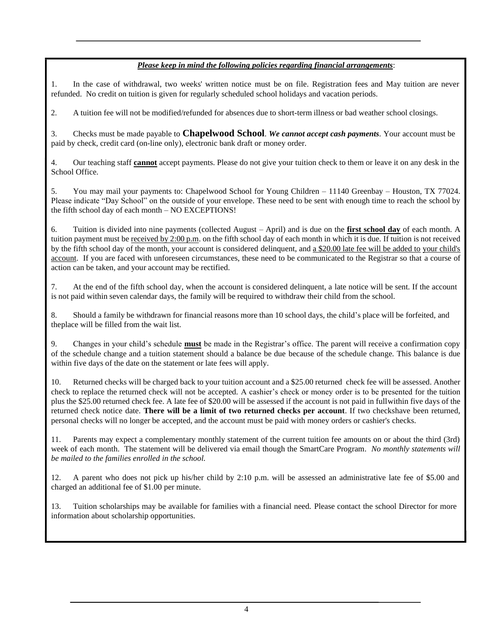#### *Please keep in mind the following policies regarding financial arrangements*:

1. In the case of withdrawal, two weeks' written notice must be on file. Registration fees and May tuition are never refunded. No credit on tuition is given for regularly scheduled school holidays and vacation periods.

2. A tuition fee will not be modified/refunded for absences due to short-term illness or bad weather school closings.

3. Checks must be made payable to **Chapelwood School**. *We cannot accept cash payments*. Your account must be paid by check, credit card (on-line only), electronic bank draft or money order.

4. Our teaching staff **cannot** accept payments. Please do not give your tuition check to them or leave it on any desk in the School Office.

5. You may mail your payments to: Chapelwood School for Young Children – 11140 Greenbay – Houston, TX 77024. Please indicate "Day School" on the outside of your envelope. These need to be sent with enough time to reach the school by the fifth school day of each month – NO EXCEPTIONS!

6. Tuition is divided into nine payments (collected August – April) and is due on the **first school day** of each month. A tuition payment must be received by  $2:00$  p.m. on the fifth school day of each month in which it is due. If tuition is not received by the fifth school day of the month, your account is considered delinquent, and a \$20.00 late fee will be added to your child's account. If you are faced with unforeseen circumstances, these need to be communicated to the Registrar so that a course of action can be taken, and your account may be rectified.

7. At the end of the fifth school day, when the account is considered delinquent, a late notice will be sent. If the account is not paid within seven calendar days, the family will be required to withdraw their child from the school.

8. Should a family be withdrawn for financial reasons more than 10 school days, the child's place will be forfeited, and theplace will be filled from the wait list.

9. Changes in your child's schedule **must** be made in the Registrar's office. The parent will receive a confirmation copy of the schedule change and a tuition statement should a balance be due because of the schedule change. This balance is due within five days of the date on the statement or late fees will apply.

10. Returned checks will be charged back to your tuition account and a \$25.00 returned check fee will be assessed. Another check to replace the returned check will not be accepted. A cashier's check or money order is to be presented for the tuition plus the \$25.00 returned check fee. A late fee of \$20.00 will be assessed if the account is not paid in fullwithin five days of the returned check notice date. **There will be a limit of two returned checks per account**. If two checkshave been returned, personal checks will no longer be accepted, and the account must be paid with money orders or cashier's checks.

11. Parents may expect a complementary monthly statement of the current tuition fee amounts on or about the third (3rd) week of each month. The statement will be delivered via email though the SmartCare Program. *No monthly statements will be mailed to the families enrolled in the school.*

12. A parent who does not pick up his/her child by 2:10 p.m. will be assessed an administrative late fee of \$5.00 and charged an additional fee of \$1.00 per minute.

13. Tuition scholarships may be available for families with a financial need. Please contact the school Director for more information about scholarship opportunities.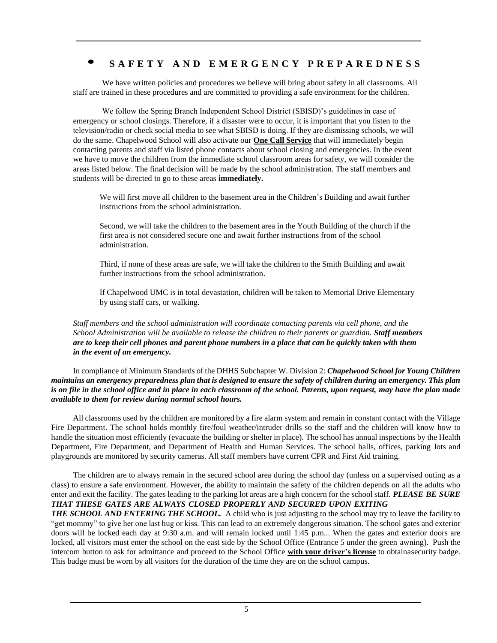### SAFETY AND EMERGENCY PREPAREDNESS

We have written policies and procedures we believe will bring about safety in all classrooms. All staff are trained in these procedures and are committed to providing a safe environment for the children.

We follow the Spring Branch Independent School District (SBISD)'s guidelines in case of emergency or school closings. Therefore, if a disaster were to occur, it is important that you listen to the television/radio or check social media to see what SBISD is doing. If they are dismissing schools, we will do the same. Chapelwood School will also activate our **One Call Service** that will immediately begin contacting parents and staff via listed phone contacts about school closing and emergencies. In the event we have to move the children from the immediate school classroom areas for safety, we will consider the areas listed below. The final decision will be made by the school administration. The staff members and students will be directed to go to these areas **immediately.**

We will first move all children to the basement area in the Children's Building and await further instructions from the school administration.

Second, we will take the children to the basement area in the Youth Building of the church if the first area is not considered secure one and await further instructions from of the school administration.

Third, if none of these areas are safe, we will take the children to the Smith Building and await further instructions from the school administration.

If Chapelwood UMC is in total devastation, children will be taken to Memorial Drive Elementary by using staff cars, or walking.

*Staff members and the school administration will coordinate contacting parents via cell phone, and the School Administration will be available to release the children to their parents or guardian. Staff members* are to keep their cell phones and parent phone numbers in a place that can be quickly taken with them *in the event of an emergency.*

In compliance of Minimum Standards of the DHHS Subchapter W. Division 2: *Chapelwood School for Young Children* maintains an emergency preparedness plan that is designed to ensure the safety of children during an emergency. This plan *is on file in the school office and in place in each classroom of the school. Parents, upon request, may have the plan made available to them for review during normal school hours.*

All classrooms used by the children are monitored by a fire alarm system and remain in constant contact with the Village Fire Department. The school holds monthly fire/foul weather/intruder drills so the staff and the children will know how to handle the situation most efficiently (evacuate the building or shelter in place). The school has annual inspections by the Health Department, Fire Department, and Department of Health and Human Services. The school halls, offices, parking lots and playgrounds are monitored by security cameras. All staff members have current CPR and First Aid training.

The children are to always remain in the secured school area during the school day (unless on a supervised outing as a class) to ensure a safe environment. However, the ability to maintain the safety of the children depends on all the adults who enter and exit the facility. The gates leading to the parking lot areas are a high concern for the school staff. *PLEASE BE SURE THAT THESE GATES ARE ALWAYS CLOSED PROPERLY AND SECURED UPON EXITING*

*THE SCHOOL AND ENTERING THE SCHOOL.* A child who is just adjusting to the school may try to leave the facility to "get mommy" to give her one last hug or kiss. This can lead to an extremely dangerous situation. The school gates and exterior doors will be locked each day at 9:30 a.m. and will remain locked until 1:45 p.m... When the gates and exterior doors are locked, all visitors must enter the school on the east side by the School Office (Entrance 5 under the green awning). Push the intercom button to ask for admittance and proceed to the School Office **with your driver's license** to obtainasecurity badge. This badge must be worn by all visitors for the duration of the time they are on the school campus.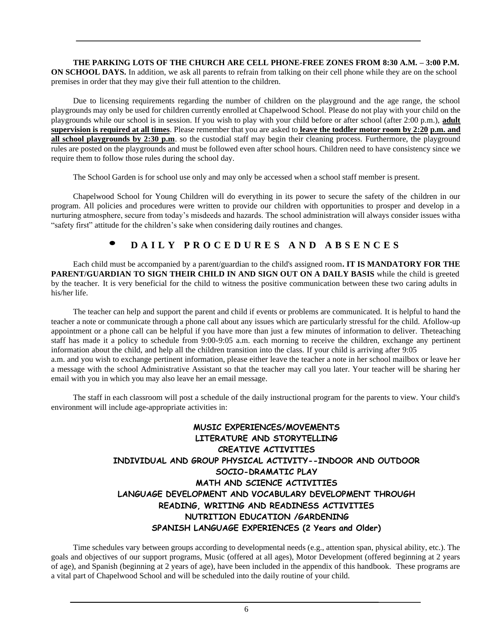**THE PARKING LOTS OF THE CHURCH ARE CELL PHONE-FREE ZONES FROM 8:30 A.M. – 3:00 P.M. ON SCHOOL DAYS.** In addition, we ask all parents to refrain from talking on their cell phone while they are on the school premises in order that they may give their full attention to the children.

Due to licensing requirements regarding the number of children on the playground and the age range, the school playgrounds may only be used for children currently enrolled at Chapelwood School. Please do not play with your child on the playgrounds while our school is in session. If you wish to play with your child before or after school (after 2:00 p.m.), **adult supervision is required at all times**. Please remember that you are asked to **leave the toddler motor room by 2:20 p.m. and all school playgrounds by 2:30 p.m.** so the custodial staff may begin their cleaning process. Furthermore, the playground rules are posted on the playgrounds and must be followed even after school hours. Children need to have consistency since we require them to follow those rules during the school day.

The School Garden is for school use only and may only be accessed when a school staff member is present.

Chapelwood School for Young Children will do everything in its power to secure the safety of the children in our program. All policies and procedures were written to provide our children with opportunities to prosper and develop in a nurturing atmosphere, secure from today's misdeeds and hazards. The school administration will always consider issues witha "safety first" attitude for the children's sake when considering daily routines and changes.

## DAILY PROCEDURES AND ABSENCES

Each child must be accompanied by a parent/guardian to the child's assigned room**. IT IS MANDATORY FOR THE PARENT/GUARDIAN TO SIGN THEIR CHILD IN AND SIGN OUT ON A DAILY BASIS** while the child is greeted by the teacher. It is very beneficial for the child to witness the positive communication between these two caring adults in his/her life.

The teacher can help and support the parent and child if events or problems are communicated. It is helpful to hand the teacher a note or communicate through a phone call about any issues which are particularly stressful for the child. Afollow-up appointment or a phone call can be helpful if you have more than just a few minutes of information to deliver. Theteaching staff has made it a policy to schedule from 9:00-9:05 a.m. each morning to receive the children, exchange any pertinent information about the child, and help all the children transition into the class. If your child is arriving after 9:05 a.m. and you wish to exchange pertinent information, please either leave the teacher a note in her school mailbox or leave her a message with the school Administrative Assistant so that the teacher may call you later. Your teacher will be sharing her email with you in which you may also leave her an email message.

The staff in each classroom will post a schedule of the daily instructional program for the parents to view. Your child's environment will include age-appropriate activities in:

## **MUSIC EXPERIENCES/MOVEMENTS LITERATURE AND STORYTELLING CREATIVE ACTIVITIES INDIVIDUAL AND GROUP PHYSICAL ACTIVITY--INDOOR AND OUTDOOR SOCIO-DRAMATIC PLAY MATH AND SCIENCE ACTIVITIES LANGUAGE DEVELOPMENT AND VOCABULARY DEVELOPMENT THROUGH READING, WRITING AND READINESS ACTIVITIES NUTRITION EDUCATION /GARDENING SPANISH LANGUAGE EXPERIENCES (2 Years and Older)**

Time schedules vary between groups according to developmental needs (e.g., attention span, physical ability, etc.). The goals and objectives of our support programs, Music (offered at all ages), Motor Development (offered beginning at 2 years of age), and Spanish (beginning at 2 years of age), have been included in the appendix of this handbook. These programs are a vital part of Chapelwood School and will be scheduled into the daily routine of your child.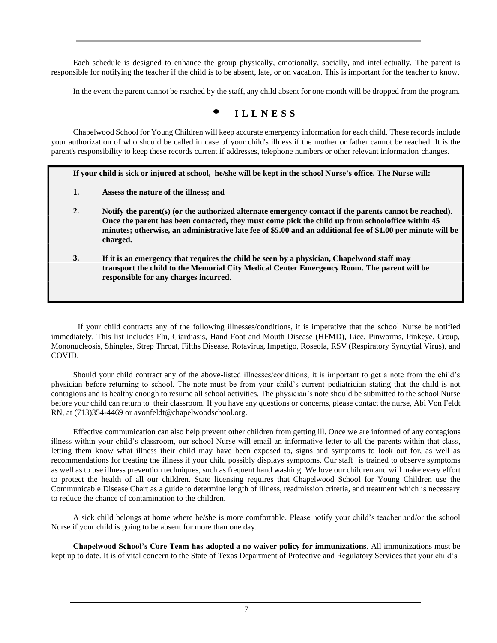Each schedule is designed to enhance the group physically, emotionally, socially, and intellectually. The parent is responsible for notifying the teacher if the child is to be absent, late, or on vacation. This is important for the teacher to know.

In the event the parent cannot be reached by the staff, any child absent for one month will be dropped from the program.

## **• <sup>I</sup> <sup>L</sup> <sup>L</sup> <sup>N</sup> <sup>E</sup> <sup>S</sup> <sup>S</sup>**

Chapelwood School for Young Children will keep accurate emergency information for each child. These records include your authorization of who should be called in case of your child's illness if the mother or father cannot be reached. It is the parent's responsibility to keep these records current if addresses, telephone numbers or other relevant information changes.

If your child is sick or injured at school, he/she will be kept in the school Nurse's office. The Nurse will:

- **1. Assess the nature of the illness; and**
- **2. Notify the parent(s) (or the authorized alternate emergency contact if the parents cannot be reached). Once the parent has been contacted, they must come pick the child up from schooloffice within 45 minutes; otherwise, an administrative late fee of \$5.00 and an additional fee of \$1.00 per minute will be charged.**
- **3. If it is an emergency that requires the child be seen by a physician, Chapelwood staff may transport the child to the Memorial City Medical Center Emergency Room. The parent will be responsible for any charges incurred.**

If your child contracts any of the following illnesses/conditions, it is imperative that the school Nurse be notified immediately. This list includes Flu, Giardiasis, Hand Foot and Mouth Disease (HFMD), Lice, Pinworms, Pinkeye, Croup, Mononucleosis, Shingles, Strep Throat, Fifths Disease, Rotavirus, Impetigo, Roseola, RSV (Respiratory Syncytial Virus), and COVID.

Should your child contract any of the above-listed illnesses/conditions, it is important to get a note from the child's physician before returning to school. The note must be from your child's current pediatrician stating that the child is not contagious and is healthy enough to resume all school activities. The physician's note should be submitted to the school Nurse before your child can return to their classroom. If you have any questions or concerns, please contact the nurse, Abi Von Feldt RN, at (713)354-4469 or [avonfeldt@chapelwoodschool.org.](mailto:avonfeldt@chapelwoodschool.org)

Effective communication can also help prevent other children from getting ill. Once we are informed of any contagious illness within your child's classroom, our school Nurse will email an informative letter to all the parents within that class, letting them know what illness their child may have been exposed to, signs and symptoms to look out for, as well as recommendations for treating the illness if your child possibly displays symptoms. Our staff is trained to observe symptoms as well as to use illness prevention techniques, such as frequent hand washing. We love our children and will make every effort to protect the health of all our children. State licensing requires that Chapelwood School for Young Children use the Communicable Disease Chart as a guide to determine length of illness, readmission criteria, and treatment which is necessary to reduce the chance of contamination to the children.

A sick child belongs at home where he/she is more comfortable. Please notify your child's teacher and/or the school Nurse if your child is going to be absent for more than one day.

**Chapelwood School's Core Team has adopted a no waiver policy for immunizations**. All immunizations must be kept up to date. It is of vital concern to the State of Texas Department of Protective and Regulatory Services that your child's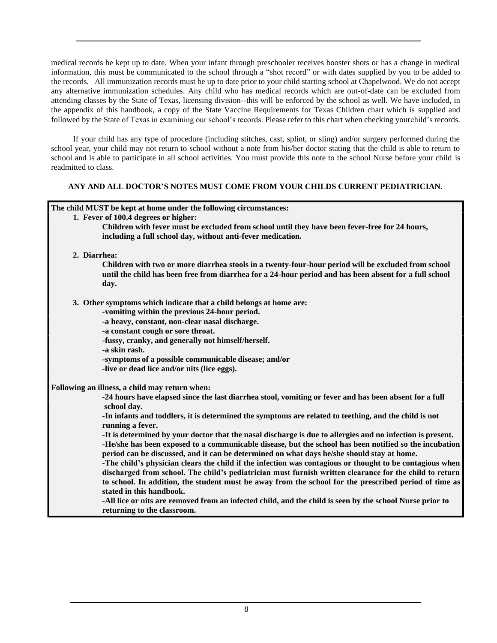medical records be kept up to date. When your infant through preschooler receives booster shots or has a change in medical information, this must be communicated to the school through a "shot record" or with dates supplied by you to be added to the records. All immunization records must be up to date prior to your child starting school at Chapelwood. We do not accept any alternative immunization schedules. Any child who has medical records which are out-of-date can be excluded from attending classes by the State of Texas, licensing division--this will be enforced by the school as well. We have included, in the appendix of this handbook, a copy of the State Vaccine Requirements for Texas Children chart which is supplied and followed by the State of Texas in examining our school's records. Please refer to this chart when checking yourchild's records.

If your child has any type of procedure (including stitches, cast, splint, or sling) and/or surgery performed during the school year, your child may not return to school without a note from his/her doctor stating that the child is able to return to school and is able to participate in all school activities. You must provide this note to the school Nurse before your child is readmitted to class.

#### **ANY AND ALL DOCTOR'S NOTES MUST COME FROM YOUR CHILDS CURRENT PEDIATRICIAN.**

#### **The child MUST be kept at home under the following circumstances: 1. Fever of 100.4 degrees or higher:**

- **Children with fever must be excluded from school until they have been fever-free for 24 hours, including a full school day, without anti-fever medication.**
- **2. Diarrhea:**

**Children with two or more diarrhea stools in a twenty-four-hour period will be excluded from school until the child has been free from diarrhea for a 24-hour period and has been absent for a full school day.**

**3. Other symptoms which indicate that a child belongs at home are:**

**-vomiting within the previous 24-hour period.**

**-a heavy, constant, non-clear nasal discharge.**

- **-a constant cough or sore throat.**
- **-fussy, cranky, and generally not himself/herself.**

**-a skin rash.**

**-symptoms of a possible communicable disease; and/or**

**-live or dead lice and/or nits (lice eggs).**

**Following an illness, a child may return when:**

-24 hours have elapsed since the last diarrhea stool, vomiting or fever and has been absent for a full **school day.**

-In infants and toddlers, it is determined the symptoms are related to teething, and the child is not **running a fever.**

-It is determined by your doctor that the nasal discharge is due to allergies and no infection is present. **-He/she has been exposed to a communicable disease, but the school has been notified so the incubation period can be discussed, and it can be determined on what days he/she should stay at home.**

**-The child's physician clears the child if the infection was contagious or thought to be contagious when discharged from school. The child's pediatrician must furnish written clearance for the child to return to school. In addition, the student must be away from the school for the prescribed period of time as stated in this handbook.**

-All lice or nits are removed from an infected child, and the child is seen by the school Nurse prior to **returning to the classroom.**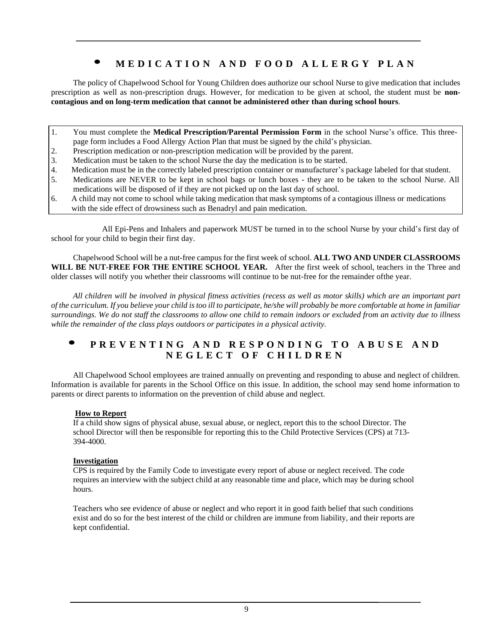## MEDICATION AND FOOD ALLERGY PLAN

The policy of Chapelwood School for Young Children does authorize our school Nurse to give medication that includes prescription as well as non-prescription drugs. However, for medication to be given at school, the student must be **noncontagious and on long-term medication that cannot be administered other than during school hours**.

- 1. You must complete the **Medical Prescription/Parental Permission Form** in the school Nurse's office. This threepage form includes a Food Allergy Action Plan that must be signed by the child's physician.
- 2. Prescription medication or non-prescription medication will be provided by the parent.
- 3. Medication must be taken to the school Nurse the day the medication is to be started.
- 4. Medication must be in the correctly labeled prescription container or manufacturer's package labeled for that student.
- 5. Medications are NEVER to be kept in school bags or lunch boxes they are to be taken to the school Nurse. All medications will be disposed of if they are not picked up on the last day of school.
- 6. A child may not come to school while taking medication that mask symptoms of a contagious illness or medications with the side effect of drowsiness such as Benadryl and pain medication.

All Epi-Pens and Inhalers and paperwork MUST be turned in to the school Nurse by your child's first day of school for your child to begin their first day.

Chapelwood School will be a nut-free campus for the first week of school. **ALL TWO AND UNDER CLASSROOMS WILL BE NUT-FREE FOR THE ENTIRE SCHOOL YEAR.** After the first week of school, teachers in the Three and older classes will notify you whether their classrooms will continue to be nut-free for the remainder ofthe year.

All children will be involved in physical fitness activities (recess as well as motor skills) which are an important part *of the curriculum. If you believe your child is too ill to participate, he/she will probably be more comfortable at home in familiar surroundings. We do not staff the classrooms to allow one child to remain indoors or excluded from an activity due to illness while the remainder of the class plays outdoors or participates in a physical activity.*

### PREVENTING AND RESPONDING TO ABUSE AND **N E G L E C T O F C H I L D R E N**

All Chapelwood School employees are trained annually on preventing and responding to abuse and neglect of children. Information is available for parents in the School Office on this issue. In addition, the school may send home information to parents or direct parents to information on the prevention of child abuse and neglect.

#### **How to Report**

If a child show signs of physical abuse, sexual abuse, or neglect, report this to the school Director. The school Director will then be responsible for reporting this to the Child Protective Services (CPS) at 713- 394-4000.

#### **Investigation**

CPS is required by the Family Code to investigate every report of abuse or neglect received. The code requires an interview with the subject child at any reasonable time and place, which may be during school hours.

Teachers who see evidence of abuse or neglect and who report it in good faith belief that such conditions exist and do so for the best interest of the child or children are immune from liability, and their reports are kept confidential.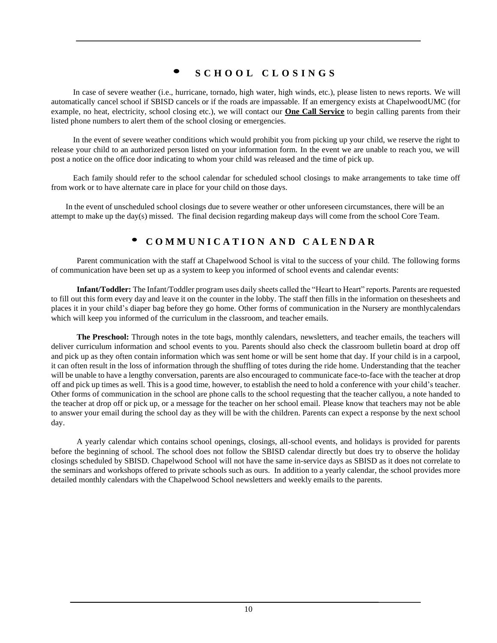## **• <sup>S</sup> <sup>C</sup> <sup>H</sup> <sup>O</sup> <sup>O</sup> <sup>L</sup> <sup>C</sup> <sup>L</sup> <sup>O</sup> <sup>S</sup> <sup>I</sup> <sup>N</sup> <sup>G</sup> <sup>S</sup>**

In case of severe weather (i.e., hurricane, tornado, high water, high winds, etc.), please listen to news reports. We will automatically cancel school if SBISD cancels or if the roads are impassable. If an emergency exists at ChapelwoodUMC (for example, no heat, electricity, school closing etc.), we will contact our **One Call Service** to begin calling parents from their listed phone numbers to alert them of the school closing or emergencies.

In the event of severe weather conditions which would prohibit you from picking up your child, we reserve the right to release your child to an authorized person listed on your information form. In the event we are unable to reach you, we will post a notice on the office door indicating to whom your child was released and the time of pick up.

Each family should refer to the school calendar for scheduled school closings to make arrangements to take time off from work or to have alternate care in place for your child on those days.

In the event of unscheduled school closings due to severe weather or other unforeseen circumstances, there will be an attempt to make up the day(s) missed. The final decision regarding makeup days will come from the school Core Team.

## • **<sup>C</sup> O M <sup>M</sup> <sup>U</sup> <sup>N</sup> I C <sup>A</sup> T I O N <sup>A</sup> <sup>N</sup> <sup>D</sup> <sup>C</sup> <sup>A</sup> L E N <sup>D</sup> <sup>A</sup> <sup>R</sup>**

Parent communication with the staff at Chapelwood School is vital to the success of your child. The following forms of communication have been set up as a system to keep you informed of school events and calendar events:

**Infant/Toddler:** The Infant/Toddler program uses daily sheets called the "Heart to Heart" reports. Parents are requested to fill out this form every day and leave it on the counter in the lobby. The staff then fills in the information on thesesheets and places it in your child's diaper bag before they go home. Other forms of communication in the Nursery are monthlycalendars which will keep you informed of the curriculum in the classroom, and teacher emails.

**The Preschool:** Through notes in the tote bags, monthly calendars, newsletters, and teacher emails, the teachers will deliver curriculum information and school events to you. Parents should also check the classroom bulletin board at drop off and pick up as they often contain information which was sent home or will be sent home that day. If your child is in a carpool, it can often result in the loss of information through the shuffling of totes during the ride home. Understanding that the teacher will be unable to have a lengthy conversation, parents are also encouraged to communicate face-to-face with the teacher at drop off and pick up times as well. This is a good time, however, to establish the need to hold a conference with your child's teacher. Other forms of communication in the school are phone calls to the school requesting that the teacher callyou, a note handed to the teacher at drop off or pick up, or a message for the teacher on her school email. Please know that teachers may not be able to answer your email during the school day as they will be with the children. Parents can expect a response by the next school day.

A yearly calendar which contains school openings, closings, all-school events, and holidays is provided for parents before the beginning of school. The school does not follow the SBISD calendar directly but does try to observe the holiday closings scheduled by SBISD. Chapelwood School will not have the same in-service days as SBISD as it does not correlate to the seminars and workshops offered to private schools such as ours. In addition to a yearly calendar, the school provides more detailed monthly calendars with the Chapelwood School newsletters and weekly emails to the parents.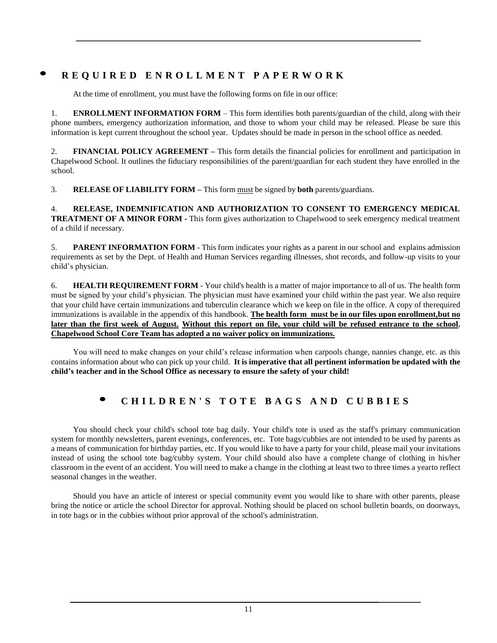## REQUIRED ENROLLMENT PAPERWORK

At the time of enrollment, you must have the following forms on file in our office:

1. **ENROLLMENT INFORMATION FORM** – This form identifies both parents/guardian of the child, along with their phone numbers, emergency authorization information, and those to whom your child may be released. Please be sure this information is kept current throughout the school year. Updates should be made in person in the school office as needed.

2. **FINANCIAL POLICY AGREEMENT –** This form details the financial policies for enrollment and participation in Chapelwood School. It outlines the fiduciary responsibilities of the parent/guardian for each student they have enrolled in the school.

3. **RELEASE OF LIABILITY FORM –** This form must be signed by **both** parents/guardians.

4. **RELEASE, INDEMNIFICATION AND AUTHORIZATION TO CONSENT TO EMERGENCY MEDICAL TREATMENT OF A MINOR FORM -** This form gives authorization to Chapelwood to seek emergency medical treatment of a child if necessary.

5. **PARENT INFORMATION FORM** - This form indicates your rights as a parent in our school and explains admission requirements as set by the Dept. of Health and Human Services regarding illnesses, shot records, and follow-up visits to your child's physician.

6. **HEALTH REQUIREMENT FORM** - Your child's health is a matter of major importance to all of us. The health form must be signed by your child's physician. The physician must have examined your child within the past year. We also require that your child have certain immunizations and tuberculin clearance which we keep on file in the office. A copy of therequired immunizations is available in the appendix of this handbook. **The health form must be in our files upon enrollment,but no later than the first week of August. Without this report on file, your child will be refused entrance to the school. Chapelwood School Core Team has adopted a no waiver policy on immunizations.**

You will need to make changes on your child's release information when carpools change, nannies change, etc. as this contains information about who can pick up your child. **It is imperative that all pertinent information be updated with the child's teacher and in the School Office as necessary to ensure the safety of your child!**

## CHILDREN'S TOTE BAGS AND CUBBIES

You should check your child's school tote bag daily. Your child's tote is used as the staff's primary communication system for monthly newsletters, parent evenings, conferences, etc. Tote bags/cubbies are not intended to be used by parents as a means of communication for birthday parties, etc. If you would like to have a party for your child, please mail your invitations instead of using the school tote bag/cubby system. Your child should also have a complete change of clothing in his/her classroom in the event of an accident. You will need to make a change in the clothing at least two to three times a yearto reflect seasonal changes in the weather.

Should you have an article of interest or special community event you would like to share with other parents, please bring the notice or article the school Director for approval. Nothing should be placed on school bulletin boards, on doorways, in tote bags or in the cubbies without prior approval of the school's administration.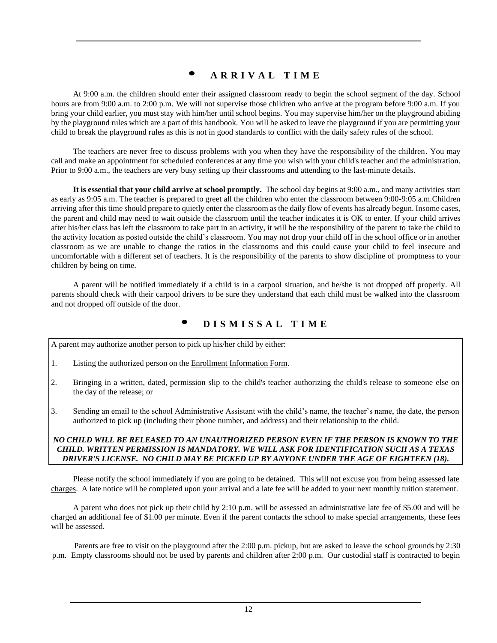## **• <sup>A</sup> <sup>R</sup> <sup>R</sup> <sup>I</sup> <sup>V</sup> <sup>A</sup> <sup>L</sup> <sup>T</sup> <sup>I</sup> <sup>M</sup> <sup>E</sup>**

At 9:00 a.m. the children should enter their assigned classroom ready to begin the school segment of the day. School hours are from 9:00 a.m. to 2:00 p.m. We will not supervise those children who arrive at the program before 9:00 a.m. If you bring your child earlier, you must stay with him/her until school begins. You may supervise him/her on the playground abiding by the playground rules which are a part of this handbook. You will be asked to leave the playground if you are permitting your child to break the playground rules as this is not in good standards to conflict with the daily safety rules of the school.

The teachers are never free to discuss problems with you when they have the responsibility of the children. You may call and make an appointment for scheduled conferences at any time you wish with your child's teacher and the administration. Prior to 9:00 a.m., the teachers are very busy setting up their classrooms and attending to the last-minute details.

**It is essential that your child arrive at school promptly.** The school day begins at 9:00 a.m., and many activities start as early as 9:05 a.m. The teacher is prepared to greet all the children who enter the classroom between 9:00-9:05 a.m.Children arriving after this time should prepare to quietly enter the classroom as the daily flow of events has already begun. Insome cases, the parent and child may need to wait outside the classroom until the teacher indicates it is OK to enter. If your child arrives after his/her class has left the classroom to take part in an activity, it will be the responsibility of the parent to take the child to the activity location as posted outside the child's classroom. You may not drop your child off in the school office or in another classroom as we are unable to change the ratios in the classrooms and this could cause your child to feel insecure and uncomfortable with a different set of teachers. It is the responsibility of the parents to show discipline of promptness to your children by being on time.

A parent will be notified immediately if a child is in a carpool situation, and he/she is not dropped off properly. All parents should check with their carpool drivers to be sure they understand that each child must be walked into the classroom and not dropped off outside of the door.

## **• <sup>D</sup> <sup>I</sup> <sup>S</sup> <sup>M</sup> <sup>I</sup> <sup>S</sup> <sup>S</sup> <sup>A</sup> <sup>L</sup> <sup>T</sup> <sup>I</sup> <sup>M</sup> <sup>E</sup>**

A parent may authorize another person to pick up his/her child by either:

- 1. Listing the authorized person on the Enrollment Information Form.
- 2. Bringing in a written, dated, permission slip to the child's teacher authorizing the child's release to someone else on the day of the release; or
- 3. Sending an email to the school Administrative Assistant with the child's name, the teacher's name, the date, the person authorized to pick up (including their phone number, and address) and their relationship to the child.

#### *NO CHILD WILL BE RELEASED TO AN UNAUTHORIZED PERSON EVEN IF THE PERSON IS KNOWN TO THE CHILD. WRITTEN PERMISSION IS MANDATORY. WE WILL ASK FOR IDENTIFICATION SUCH AS A TEXAS DRIVER'S LICENSE. NO CHILD MAY BE PICKED UP BY ANYONE UNDER THE AGE OF EIGHTEEN (18).*

Please notify the school immediately if you are going to be detained. This will not excuse you from being assessed late charges. A late notice will be completed upon your arrival and a late fee will be added to your next monthly tuition statement.

A parent who does not pick up their child by 2:10 p.m. will be assessed an administrative late fee of \$5.00 and will be charged an additional fee of \$1.00 per minute. Even if the parent contacts the school to make special arrangements, these fees will be assessed.

Parents are free to visit on the playground after the 2:00 p.m. pickup, but are asked to leave the school grounds by 2:30 p.m. Empty classrooms should not be used by parents and children after 2:00 p.m. Our custodial staff is contracted to begin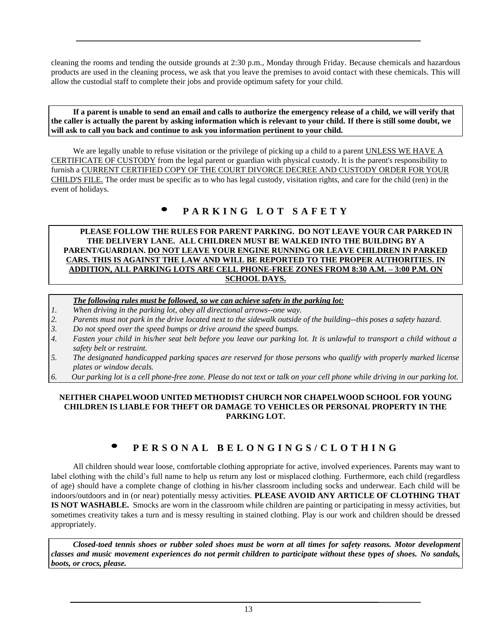cleaning the rooms and tending the outside grounds at 2:30 p.m., Monday through Friday. Because chemicals and hazardous products are used in the cleaning process, we ask that you leave the premises to avoid contact with these chemicals. This will allow the custodial staff to complete their jobs and provide optimum safety for your child.

If a parent is unable to send an email and calls to authorize the emergency release of a child, we will verify that **the caller is actually the parent by asking information which is relevant to your child. If there is still some doubt, we will ask to call you back and continue to ask you information pertinent to your child.**

We are legally unable to refuse visitation or the privilege of picking up a child to a parent UNLESS WE HAVE A CERTIFICATE OF CUSTODY from the legal parent or guardian with physical custody. It is the parent's responsibility to furnish a CURRENT CERTIFIED COPY OF THE COURT DIVORCE DECREE AND CUSTODY ORDER FOR YOUR CHILD'S FILE. The order must be specific as to who has legal custody, visitation rights, and care for the child (ren) in the event of holidays.

## **• <sup>P</sup> <sup>A</sup> <sup>R</sup> <sup>K</sup> <sup>I</sup> <sup>N</sup> <sup>G</sup> <sup>L</sup> <sup>O</sup> <sup>T</sup> <sup>S</sup> <sup>A</sup> <sup>F</sup> <sup>E</sup> <sup>T</sup> <sup>Y</sup>**

#### **PLEASE FOLLOW THE RULES FOR PARENT PARKING. DO NOT LEAVE YOUR CAR PARKED IN THE DELIVERY LANE. ALL CHILDREN MUST BE WALKED INTO THE BUILDING BY A PARENT/GUARDIAN. DO NOT LEAVE YOUR ENGINE RUNNING OR LEAVE CHILDREN IN PARKED CARS. THIS IS AGAINST THE LAW AND WILL BE REPORTED TO THE PROPER AUTHORITIES. IN ADDITION, ALL PARKING LOTS ARE CELL PHONE-FREE ZONES FROM 8:30 A.M. – 3:00 P.M. ON SCHOOL DAYS.**

#### *The following rules must be followed, so we can achieve safety in the parking lot:*

- *1. When driving in the parking lot, obey all directional arrows--one way.*
- *2. Parents must not park in the drive located next to the sidewalk outside of the building--this poses a safety hazard.*
- *3. Do not speed over the speed bumps or drive around the speed bumps.*
- 4. Fasten your child in his/her seat belt before you leave our parking lot. It is unlawful to transport a child without a *safety belt or restraint.*
- 5. The designated handicapped parking spaces are reserved for those persons who qualify with properly marked license *plates or window decals.*
- 6. Our parking lot is a cell phone-free zone. Please do not text or talk on your cell phone while driving in our parking lot.

#### **NEITHER CHAPELWOOD UNITED METHODIST CHURCH NOR CHAPELWOOD SCHOOL FOR YOUNG CHILDREN IS LIABLE FOR THEFT OR DAMAGE TO VEHICLES OR PERSONAL PROPERTY IN THE PARKING LOT.**

## PERSONAL BELONGINGS/CLOTHING

All children should wear loose, comfortable clothing appropriate for active, involved experiences. Parents may want to label clothing with the child's full name to help us return any lost or misplaced clothing. Furthermore, each child (regardless of age) should have a complete change of clothing in his/her classroom including socks and underwear. Each child will be indoors/outdoors and in (or near) potentially messy activities. **PLEASE AVOID ANY ARTICLE OF CLOTHING THAT IS NOT WASHABLE.** Smocks are worn in the classroom while children are painting or participating in messy activities, but sometimes creativity takes a turn and is messy resulting in stained clothing. Play is our work and children should be dressed appropriately.

*Closed-toed tennis shoes or rubber soled shoes must be worn at all times for safety reasons. Motor development classes and music movement experiences do not permit children to participate without these types of shoes. No sandals, boots, or crocs, please.*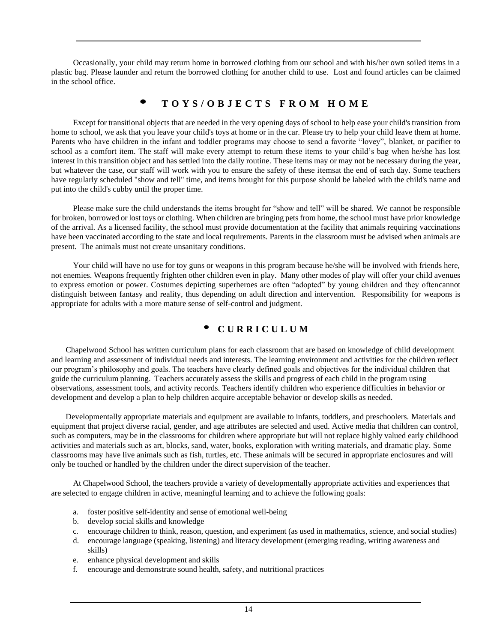Occasionally, your child may return home in borrowed clothing from our school and with his/her own soiled items in a plastic bag. Please launder and return the borrowed clothing for another child to use. Lost and found articles can be claimed in the school office.

### **• <sup>T</sup> <sup>O</sup> <sup>Y</sup> <sup>S</sup> / <sup>O</sup> <sup>B</sup> <sup>J</sup> <sup>E</sup> <sup>C</sup> <sup>T</sup> <sup>S</sup> <sup>F</sup> <sup>R</sup> <sup>O</sup> <sup>M</sup> <sup>H</sup> <sup>O</sup> <sup>M</sup> <sup>E</sup>**

Except for transitional objects that are needed in the very opening days of school to help ease your child's transition from home to school, we ask that you leave your child's toys at home or in the car. Please try to help your child leave them at home. Parents who have children in the infant and toddler programs may choose to send a favorite "lovey", blanket, or pacifier to school as a comfort item. The staff will make every attempt to return these items to your child's bag when he/she has lost interest in this transition object and has settled into the daily routine. These items may or may not be necessary during the year, but whatever the case, our staff will work with you to ensure the safety of these itemsat the end of each day. Some teachers have regularly scheduled "show and tell" time, and items brought for this purpose should be labeled with the child's name and put into the child's cubby until the proper time.

Please make sure the child understands the items brought for "show and tell" will be shared. We cannot be responsible for broken, borrowed or lost toys or clothing. When children are bringing pets from home, the school must have prior knowledge of the arrival. As a licensed facility, the school must provide documentation at the facility that animals requiring vaccinations have been vaccinated according to the state and local requirements. Parents in the classroom must be advised when animals are present. The animals must not create unsanitary conditions.

Your child will have no use for toy guns or weapons in this program because he/she will be involved with friends here, not enemies. Weapons frequently frighten other children even in play. Many other modes of play will offer your child avenues to express emotion or power. Costumes depicting superheroes are often "adopted" by young children and they oftencannot distinguish between fantasy and reality, thus depending on adult direction and intervention. Responsibility for weapons is appropriate for adults with a more mature sense of self-control and judgment.

## • **<sup>C</sup> <sup>U</sup> R R I C U L U M**

Chapelwood School has written curriculum plans for each classroom that are based on knowledge of child development and learning and assessment of individual needs and interests. The learning environment and activities for the children reflect our program's philosophy and goals. The teachers have clearly defined goals and objectives for the individual children that guide the curriculum planning. Teachers accurately assess the skills and progress of each child in the program using observations, assessment tools, and activity records. Teachers identify children who experience difficulties in behavior or development and develop a plan to help children acquire acceptable behavior or develop skills as needed.

Developmentally appropriate materials and equipment are available to infants, toddlers, and preschoolers. Materials and equipment that project diverse racial, gender, and age attributes are selected and used. Active media that children can control, such as computers, may be in the classrooms for children where appropriate but will not replace highly valued early childhood activities and materials such as art, blocks, sand, water, books, exploration with writing materials, and dramatic play. Some classrooms may have live animals such as fish, turtles, etc. These animals will be secured in appropriate enclosures and will only be touched or handled by the children under the direct supervision of the teacher.

At Chapelwood School, the teachers provide a variety of developmentally appropriate activities and experiences that are selected to engage children in active, meaningful learning and to achieve the following goals:

- a. foster positive self-identity and sense of emotional well-being
- b. develop social skills and knowledge
- c. encourage children to think, reason, question, and experiment (as used in mathematics, science, and social studies)
- d. encourage language (speaking, listening) and literacy development (emerging reading, writing awareness and skills)
- e. enhance physical development and skills
- f. encourage and demonstrate sound health, safety, and nutritional practices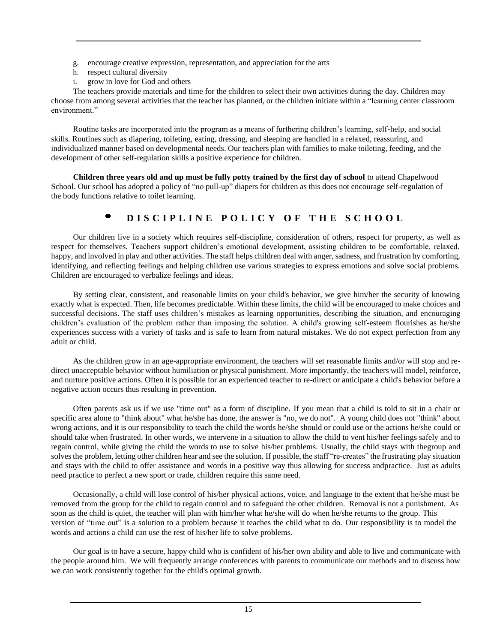- g. encourage creative expression, representation, and appreciation for the arts
- h. respect cultural diversity
- i. grow in love for God and others

The teachers provide materials and time for the children to select their own activities during the day. Children may choose from among several activities that the teacher has planned, or the children initiate within a "learning center classroom environment"

Routine tasks are incorporated into the program as a means of furthering children's learning, self-help, and social skills. Routines such as diapering, toileting, eating, dressing, and sleeping are handled in a relaxed, reassuring, and individualized manner based on developmental needs. Our teachers plan with families to make toileting, feeding, and the development of other self-regulation skills a positive experience for children.

**Children three years old and up must be fully potty trained by the first day of school** to attend Chapelwood School. Our school has adopted a policy of "no pull-up" diapers for children as this does not encourage self-regulation of the body functions relative to toilet learning.

## DISCIPLINE POLICY OF THE SCHOOL

Our children live in a society which requires self-discipline, consideration of others, respect for property, as well as respect for themselves. Teachers support children's emotional development, assisting children to be comfortable, relaxed, happy, and involved in play and other activities. The staff helps children deal with anger, sadness, and frustration by comforting, identifying, and reflecting feelings and helping children use various strategies to express emotions and solve social problems. Children are encouraged to verbalize feelings and ideas.

By setting clear, consistent, and reasonable limits on your child's behavior, we give him/her the security of knowing exactly what is expected. Then, life becomes predictable. Within these limits, the child will be encouraged to make choices and successful decisions. The staff uses children's mistakes as learning opportunities, describing the situation, and encouraging children's evaluation of the problem rather than imposing the solution. A child's growing self-esteem flourishes as he/she experiences success with a variety of tasks and is safe to learn from natural mistakes. We do not expect perfection from any adult or child.

As the children grow in an age-appropriate environment, the teachers will set reasonable limits and/or will stop and redirect unacceptable behavior without humiliation or physical punishment. More importantly, the teachers will model, reinforce, and nurture positive actions. Often it is possible for an experienced teacher to re-direct or anticipate a child's behavior before a negative action occurs thus resulting in prevention.

Often parents ask us if we use "time out" as a form of discipline. If you mean that a child is told to sit in a chair or specific area alone to "think about" what he/she has done, the answer is "no, we do not". A young child does not "think" about wrong actions, and it is our responsibility to teach the child the words he/she should or could use or the actions he/she could or should take when frustrated. In other words, we intervene in a situation to allow the child to vent his/her feelings safely and to regain control, while giving the child the words to use to solve his/her problems. Usually, the child stays with thegroup and solves the problem, letting other children hear and see the solution. If possible, the staff "re-creates" the frustrating play situation and stays with the child to offer assistance and words in a positive way thus allowing for success andpractice. Just as adults need practice to perfect a new sport or trade, children require this same need.

Occasionally, a child will lose control of his/her physical actions, voice, and language to the extent that he/she must be removed from the group for the child to regain control and to safeguard the other children. Removal is not a punishment. As soon as the child is quiet, the teacher will plan with him/her what he/she will do when he/she returns to the group. This version of "time out" is a solution to a problem because it teaches the child what to do. Our responsibility is to model the words and actions a child can use the rest of his/her life to solve problems.

Our goal is to have a secure, happy child who is confident of his/her own ability and able to live and communicate with the people around him. We will frequently arrange conferences with parents to communicate our methods and to discuss how we can work consistently together for the child's optimal growth.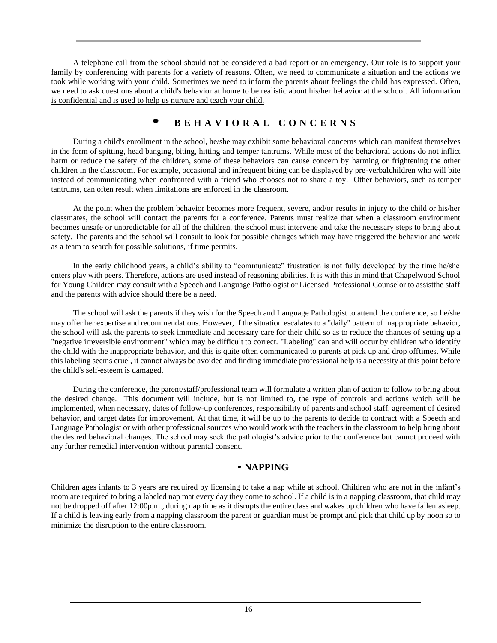A telephone call from the school should not be considered a bad report or an emergency. Our role is to support your family by conferencing with parents for a variety of reasons. Often, we need to communicate a situation and the actions we took while working with your child. Sometimes we need to inform the parents about feelings the child has expressed. Often, we need to ask questions about a child's behavior at home to be realistic about his/her behavior at the school. All information is confidential and is used to help us nurture and teach your child.

## **• <sup>B</sup> <sup>E</sup> <sup>H</sup> <sup>A</sup> <sup>V</sup> <sup>I</sup> <sup>O</sup> <sup>R</sup> <sup>A</sup> <sup>L</sup> <sup>C</sup> <sup>O</sup> <sup>N</sup> <sup>C</sup> <sup>E</sup> <sup>R</sup> <sup>N</sup> <sup>S</sup>**

During a child's enrollment in the school, he/she may exhibit some behavioral concerns which can manifest themselves in the form of spitting, head banging, biting, hitting and temper tantrums. While most of the behavioral actions do not inflict harm or reduce the safety of the children, some of these behaviors can cause concern by harming or frightening the other children in the classroom. For example, occasional and infrequent biting can be displayed by pre-verbalchildren who will bite instead of communicating when confronted with a friend who chooses not to share a toy. Other behaviors, such as temper tantrums, can often result when limitations are enforced in the classroom.

At the point when the problem behavior becomes more frequent, severe, and/or results in injury to the child or his/her classmates, the school will contact the parents for a conference. Parents must realize that when a classroom environment becomes unsafe or unpredictable for all of the children, the school must intervene and take the necessary steps to bring about safety. The parents and the school will consult to look for possible changes which may have triggered the behavior and work as a team to search for possible solutions, if time permits.

In the early childhood years, a child's ability to "communicate" frustration is not fully developed by the time he/she enters play with peers. Therefore, actions are used instead of reasoning abilities. It is with this in mind that Chapelwood School for Young Children may consult with a Speech and Language Pathologist or Licensed Professional Counselor to assistthe staff and the parents with advice should there be a need.

The school will ask the parents if they wish for the Speech and Language Pathologist to attend the conference, so he/she may offer her expertise and recommendations. However, if the situation escalates to a "daily" pattern of inappropriate behavior, the school will ask the parents to seek immediate and necessary care for their child so as to reduce the chances of setting up a "negative irreversible environment" which may be difficult to correct. "Labeling" can and will occur by children who identify the child with the inappropriate behavior, and this is quite often communicated to parents at pick up and drop offtimes. While this labeling seems cruel, it cannot always be avoided and finding immediate professional help is a necessity at this point before the child's self-esteem is damaged.

During the conference, the parent/staff/professional team will formulate a written plan of action to follow to bring about the desired change. This document will include, but is not limited to, the type of controls and actions which will be implemented, when necessary, dates of follow-up conferences, responsibility of parents and school staff, agreement of desired behavior, and target dates for improvement. At that time, it will be up to the parents to decide to contract with a Speech and Language Pathologist or with other professional sources who would work with the teachers in the classroom to help bring about the desired behavioral changes. The school may seek the pathologist's advice prior to the conference but cannot proceed with any further remedial intervention without parental consent.

### • **NAPPING**

Children ages infants to 3 years are required by licensing to take a nap while at school. Children who are not in the infant's room are required to bring a labeled nap mat every day they come to school. If a child is in a napping classroom, that child may not be dropped off after 12:00p.m., during nap time as it disrupts the entire class and wakes up children who have fallen asleep. If a child is leaving early from a napping classroom the parent or guardian must be prompt and pick that child up by noon so to minimize the disruption to the entire classroom.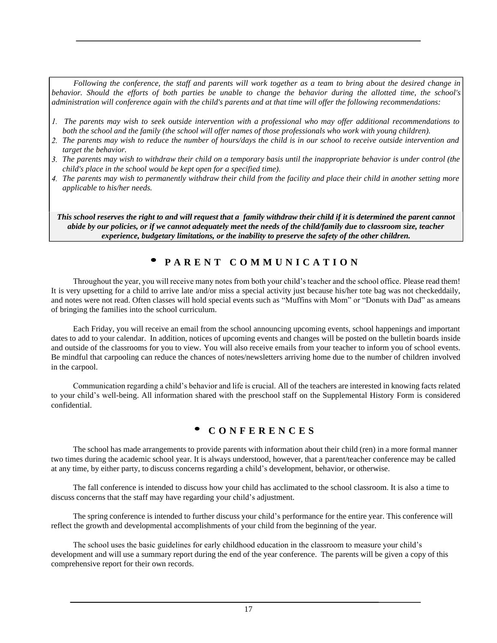*Following the conference, the staff and parents will work together as a team to bring about the desired change in behavior. Should the efforts of both parties be unable to change the behavior during the allotted time, the school's administration will conference again with the child's parents and at that time will offer the following recommendations:*

- 1. The parents may wish to seek outside intervention with a professional who may offer additional recommendations to *both the school and the family (the school will offer names of those professionals who work with young children).*
- 2. The parents may wish to reduce the number of hours/days the child is in our school to receive outside intervention and *target the behavior.*
- 3. The parents may wish to withdraw their child on a temporary basis until the inappropriate behavior is under control (the *child's place in the school would be kept open for a specified time).*
- 4. The parents may wish to permanently withdraw their child from the facility and place their child in another setting more *applicable to his/her needs.*

This school reserves the right to and will request that a family withdraw their child if it is determined the parent cannot *abide by our policies, or if we cannot adequately meet the needs of the child/family due to classroom size, teacher experience, budgetary limitations, or the inability to preserve the safety of the other children.*

## • **<sup>P</sup> <sup>A</sup> <sup>R</sup> <sup>E</sup> <sup>N</sup> <sup>T</sup> <sup>C</sup> <sup>O</sup> <sup>M</sup> <sup>M</sup> <sup>U</sup> <sup>N</sup> <sup>I</sup> <sup>C</sup> <sup>A</sup> <sup>T</sup> <sup>I</sup> <sup>O</sup> <sup>N</sup>**

Throughout the year, you will receive many notes from both your child's teacher and the school office. Please read them! It is very upsetting for a child to arrive late and/or miss a special activity just because his/her tote bag was not checkeddaily, and notes were not read. Often classes will hold special events such as "Muffins with Mom" or "Donuts with Dad" as ameans of bringing the families into the school curriculum.

Each Friday, you will receive an email from the school announcing upcoming events, school happenings and important dates to add to your calendar. In addition, notices of upcoming events and changes will be posted on the bulletin boards inside and outside of the classrooms for you to view. You will also receive emails from your teacher to inform you of school events. Be mindful that carpooling can reduce the chances of notes/newsletters arriving home due to the number of children involved in the carpool.

Communication regarding a child's behavior and life is crucial. All of the teachers are interested in knowing facts related to your child's well-being. All information shared with the preschool staff on the Supplemental History Form is considered confidential.

## • **<sup>C</sup> <sup>O</sup> <sup>N</sup> <sup>F</sup> <sup>E</sup> <sup>R</sup> <sup>E</sup> <sup>N</sup> <sup>C</sup> <sup>E</sup> <sup>S</sup>**

The school has made arrangements to provide parents with information about their child (ren) in a more formal manner two times during the academic school year. It is always understood, however, that a parent/teacher conference may be called at any time, by either party, to discuss concerns regarding a child's development, behavior, or otherwise.

The fall conference is intended to discuss how your child has acclimated to the school classroom. It is also a time to discuss concerns that the staff may have regarding your child's adjustment.

The spring conference is intended to further discuss your child's performance for the entire year. This conference will reflect the growth and developmental accomplishments of your child from the beginning of the year.

The school uses the basic guidelines for early childhood education in the classroom to measure your child's development and will use a summary report during the end of the year conference. The parents will be given a copy of this comprehensive report for their own records.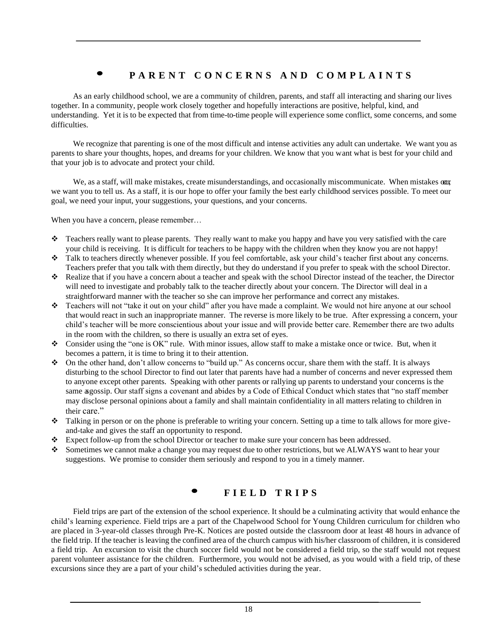## PARENT CONCERNS AND COMPLAINTS

As an early childhood school, we are a community of children, parents, and staff all interacting and sharing our lives together. In a community, people work closely together and hopefully interactions are positive, helpful, kind, and understanding. Yet it is to be expected that from time-to-time people will experience some conflict, some concerns, and some difficulties.

We recognize that parenting is one of the most difficult and intense activities any adult can undertake. We want you as parents to share your thoughts, hopes, and dreams for your children. We know that you want what is best for your child and that your job is to advocate and protect your child.

We, as a staff, will make mistakes, create misunderstandings, and occasionally miscommunicate. When mistakes our we want you to tell us. As a staff, it is our hope to offer your family the best early childhood services possible. To meet our goal, we need your input, your suggestions, your questions, and your concerns.

When you have a concern, please remember...

- ❖ Teachers really want to please parents. They really want to make you happy and have you very satisfied with the care your child is receiving. It is difficult for teachers to be happy with the children when they know you are not happy!
- ❖ Talk to teachers directly whenever possible. If you feel comfortable, ask your child's teacher first about any concerns. Teachers prefer that you talk with them directly, but they do understand if you prefer to speak with the school Director.
- ❖ Realize that if you have a concern about a teacher and speak with the school Director instead of the teacher, the Director will need to investigate and probably talk to the teacher directly about your concern. The Director will deal in a straightforward manner with the teacher so she can improve her performance and correct any mistakes.
- ❖ Teachers will not "take it out on your child" after you have made a complaint. We would not hire anyone at our school that would react in such an inappropriate manner. The reverse is more likely to be true. After expressing a concern, your child's teacher will be more conscientious about your issue and will provide better care. Remember there are two adults in the room with the children, so there is usually an extra set of eyes.
- ❖ Consider using the "one is OK" rule. With minor issues, allow staff to make a mistake once or twice. But, when it becomes a pattern, it is time to bring it to their attention.
- ❖ On the other hand, don't allow concerns to "build up." As concerns occur, share them with the staff. It is always disturbing to the school Director to find out later that parents have had a number of concerns and never expressed them to anyone except other parents. Speaking with other parents or rallying up parents to understand your concerns is the same asgossip. Our staff signs a covenant and abides by a Code of Ethical Conduct which states that "no staff member may disclose personal opinions about a family and shall maintain confidentiality in all matters relating to children in their care."
- ❖ Talking in person or on the phone is preferable to writing your concern. Setting up a time to talk allows for more giveand-take and gives the staff an opportunity to respond.
- ❖ Expect follow-up from the school Director or teacher to make sure your concern has been addressed.
- ❖ Sometimes we cannot make a change you may request due to other restrictions, but we ALWAYS want to hear your suggestions. We promise to consider them seriously and respond to you in a timely manner.

### **• <sup>F</sup> <sup>I</sup> <sup>E</sup> <sup>L</sup> <sup>D</sup> <sup>T</sup> <sup>R</sup> <sup>I</sup> <sup>P</sup> <sup>S</sup>**

Field trips are part of the extension of the school experience. It should be a culminating activity that would enhance the child's learning experience. Field trips are a part of the Chapelwood School for Young Children curriculum for children who are placed in 3-year-old classes through Pre-K. Notices are posted outside the classroom door at least 48 hours in advance of the field trip. If the teacher is leaving the confined area of the church campus with his/her classroom of children, it is considered a field trip. An excursion to visit the church soccer field would not be considered a field trip, so the staff would not request parent volunteer assistance for the children. Furthermore, you would not be advised, as you would with a field trip, of these excursions since they are a part of your child's scheduled activities during the year.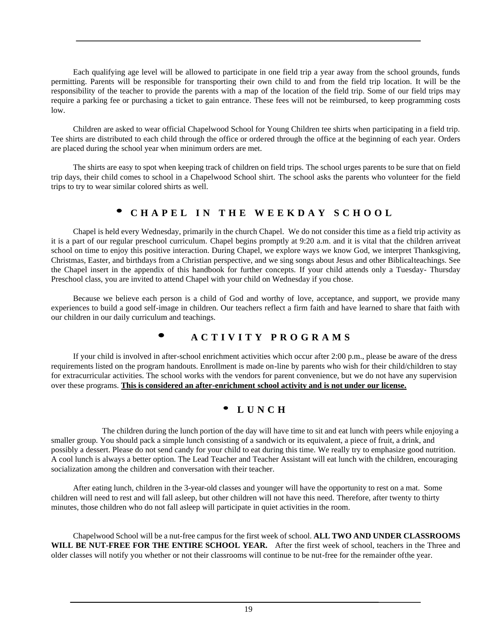Each qualifying age level will be allowed to participate in one field trip a year away from the school grounds, funds permitting. Parents will be responsible for transporting their own child to and from the field trip location. It will be the responsibility of the teacher to provide the parents with a map of the location of the field trip. Some of our field trips may require a parking fee or purchasing a ticket to gain entrance. These fees will not be reimbursed, to keep programming costs low.

Children are asked to wear official Chapelwood School for Young Children tee shirts when participating in a field trip. Tee shirts are distributed to each child through the office or ordered through the office at the beginning of each year. Orders are placed during the school year when minimum orders are met.

The shirts are easy to spot when keeping track of children on field trips. The school urges parents to be sure that on field trip days, their child comes to school in a Chapelwood School shirt. The school asks the parents who volunteer for the field trips to try to wear similar colored shirts as well.

## • **<sup>C</sup> <sup>H</sup> <sup>A</sup> <sup>P</sup> <sup>E</sup> <sup>L</sup> <sup>I</sup> <sup>N</sup> <sup>T</sup> <sup>H</sup> <sup>E</sup> <sup>W</sup> <sup>E</sup> <sup>E</sup> <sup>K</sup> <sup>D</sup> <sup>A</sup> <sup>Y</sup> <sup>S</sup> <sup>C</sup> <sup>H</sup> <sup>O</sup> <sup>O</sup> <sup>L</sup>**

Chapel is held every Wednesday, primarily in the church Chapel. We do not consider this time as a field trip activity as it is a part of our regular preschool curriculum. Chapel begins promptly at 9:20 a.m. and it is vital that the children arriveat school on time to enjoy this positive interaction. During Chapel, we explore ways we know God, we interpret Thanksgiving, Christmas, Easter, and birthdays from a Christian perspective, and we sing songs about Jesus and other Biblicalteachings. See the Chapel insert in the appendix of this handbook for further concepts. If your child attends only a Tuesday- Thursday Preschool class, you are invited to attend Chapel with your child on Wednesday if you chose.

Because we believe each person is a child of God and worthy of love, acceptance, and support, we provide many experiences to build a good self-image in children. Our teachers reflect a firm faith and have learned to share that faith with our children in our daily curriculum and teachings.

## **• <sup>A</sup> <sup>C</sup> <sup>T</sup> <sup>I</sup> <sup>V</sup> <sup>I</sup> <sup>T</sup> <sup>Y</sup> <sup>P</sup> <sup>R</sup> <sup>O</sup> <sup>G</sup> <sup>R</sup> <sup>A</sup> <sup>M</sup> <sup>S</sup>**

If your child is involved in after-school enrichment activities which occur after 2:00 p.m., please be aware of the dress requirements listed on the program handouts. Enrollment is made on-line by parents who wish for their child/children to stay for extracurricular activities. The school works with the vendors for parent convenience, but we do not have any supervision over these programs. **This is considered an after-enrichment school activity and is not under our license.**

## • **<sup>L</sup> <sup>U</sup> <sup>N</sup> <sup>C</sup> <sup>H</sup>**

The children during the lunch portion of the day will have time to sit and eat lunch with peers while enjoying a smaller group. You should pack a simple lunch consisting of a sandwich or its equivalent, a piece of fruit, a drink, and possibly a dessert. Please do not send candy for your child to eat during this time. We really try to emphasize good nutrition. A cool lunch is always a better option. The Lead Teacher and Teacher Assistant will eat lunch with the children, encouraging socialization among the children and conversation with their teacher.

After eating lunch, children in the 3-year-old classes and younger will have the opportunity to rest on a mat. Some children will need to rest and will fall asleep, but other children will not have this need. Therefore, after twenty to thirty minutes, those children who do not fall asleep will participate in quiet activities in the room.

Chapelwood School will be a nut-free campus for the first week of school. **ALL TWO AND UNDER CLASSROOMS WILL BE NUT-FREE FOR THE ENTIRE SCHOOL YEAR.** After the first week of school, teachers in the Three and older classes will notify you whether or not their classrooms will continue to be nut-free for the remainder ofthe year.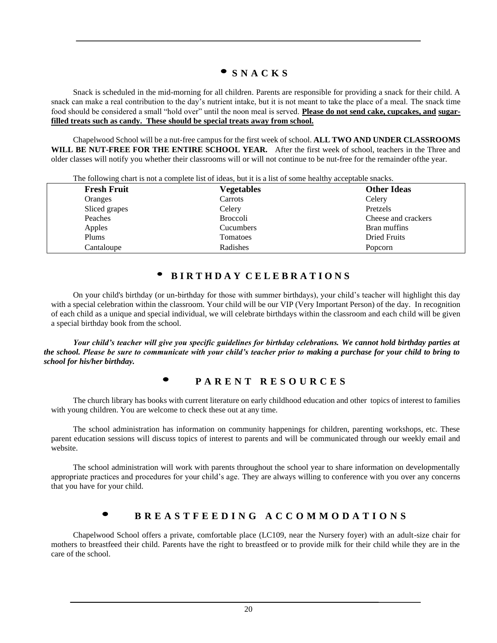## $\bullet$  **S N A C K S**

Snack is scheduled in the mid-morning for all children. Parents are responsible for providing a snack for their child. A snack can make a real contribution to the day's nutrient intake, but it is not meant to take the place of a meal. The snack time food should be considered a small "hold over" until the noon meal is served. **Please do not send cake, cupcakes, and sugarfilled treats such as candy. These should be special treats away from school.**

Chapelwood School will be a nut-free campus for the first week of school. **ALL TWO AND UNDER CLASSROOMS WILL BE NUT-FREE FOR THE ENTIRE SCHOOL YEAR.** After the first week of school, teachers in the Three and older classes will notify you whether their classrooms will or will not continue to be nut-free for the remainder ofthe year.

| The following enarged and a complete not of racas, but it is a not of some nearing acceptable shacks. |                    |                 |                     |
|-------------------------------------------------------------------------------------------------------|--------------------|-----------------|---------------------|
|                                                                                                       | <b>Fresh Fruit</b> | Vegetables      | <b>Other Ideas</b>  |
|                                                                                                       | Oranges            | Carrots         | Celery              |
|                                                                                                       | Sliced grapes      | Celery          | Pretzels            |
|                                                                                                       | Peaches            | <b>Broccoli</b> | Cheese and crackers |
|                                                                                                       | Apples             | Cucumbers       | Bran muffins        |
|                                                                                                       | Plums              | Tomatoes        | <b>Dried Fruits</b> |
|                                                                                                       | Cantaloupe         | Radishes        | Popcorn             |

The following chart is not a complete list of ideas, but it is a list of some healthy acceptable snacks.

### • **<sup>B</sup> I R T H D <sup>A</sup> <sup>Y</sup> <sup>C</sup> E L E B R <sup>A</sup> T I O N <sup>S</sup>**

On your child's birthday (or un-birthday for those with summer birthdays), your child's teacher will highlight this day with a special celebration within the classroom. Your child will be our VIP (Very Important Person) of the day. In recognition of each child as a unique and special individual, we will celebrate birthdays within the classroom and each child will be given a special birthday book from the school.

*Your child's teacher will give you specific guidelines for birthday celebrations. We cannot hold birthday parties at the school. Please be sure to communicate with your child's teacher prior to making a purchase for your child to bring to school for his/her birthday.*

### **• <sup>P</sup> <sup>A</sup> <sup>R</sup> <sup>E</sup> <sup>N</sup> <sup>T</sup> <sup>R</sup> <sup>E</sup> <sup>S</sup> <sup>O</sup> <sup>U</sup> <sup>R</sup> <sup>C</sup> <sup>E</sup> <sup>S</sup>**

The church library has books with current literature on early childhood education and other topics of interest to families with young children. You are welcome to check these out at any time.

The school administration has information on community happenings for children, parenting workshops, etc. These parent education sessions will discuss topics of interest to parents and will be communicated through our weekly email and website.

The school administration will work with parents throughout the school year to share information on developmentally appropriate practices and procedures for your child's age. They are always willing to conference with you over any concerns that you have for your child.

### **BREASTFEEDING ACCOMMODATIONS**

Chapelwood School offers a private, comfortable place (LC109, near the Nursery foyer) with an adult-size chair for mothers to breastfeed their child. Parents have the right to breastfeed or to provide milk for their child while they are in the care of the school.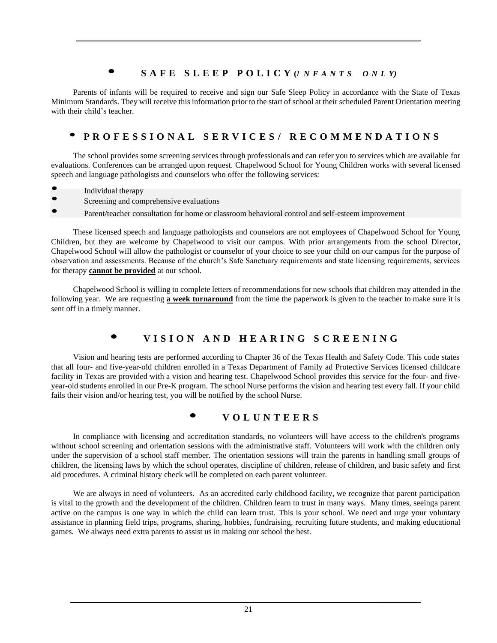## SAFE SLEEP POLICY (INFANTS ONLY)

Parents of infants will be required to receive and sign our Safe Sleep Policy in accordance with the State of Texas Minimum Standards. They will receive this information prior to the start of school at their scheduled Parent Orientation meeting with their child's teacher.

## PROFESSIONAL SERVICES/ RECOMMENDATIONS

The school provides some screening services through professionals and can refer you to services which are available for evaluations. Conferences can be arranged upon request. Chapelwood School for Young Children works with several licensed speech and language pathologists and counselors who offer the following services:

- Individual therapy
- Screening and comprehensive evaluations
- Parent/teacher consultation for home or classroom behavioral control and self-esteem improvement

These licensed speech and language pathologists and counselors are not employees of Chapelwood School for Young Children, but they are welcome by Chapelwood to visit our campus. With prior arrangements from the school Director, Chapelwood School will allow the pathologist or counselor of your choice to see your child on our campus for the purpose of observation and assessments. Because of the church's Safe Sanctuary requirements and state licensing requirements, services for therapy **cannot be provided** at our school.

Chapelwood School is willing to complete letters of recommendations for new schools that children may attended in the following year. We are requesting **a week turnaround** from the time the paperwork is given to the teacher to make sure it is sent off in a timely manner.

## VISION AND HEARING SCREENING

Vision and hearing tests are performed according to Chapter 36 of the Texas Health and Safety Code. This code states that all four- and five-year-old children enrolled in a Texas Department of Family ad Protective Services licensed childcare facility in Texas are provided with a vision and hearing test. Chapelwood School provides this service for the four- and fiveyear-old students enrolled in our Pre-K program. The school Nurse performs the vision and hearing test every fall. If your child fails their vision and/or hearing test, you will be notified by the school Nurse.

### **• <sup>V</sup> <sup>O</sup> <sup>L</sup> <sup>U</sup> <sup>N</sup> <sup>T</sup> <sup>E</sup> <sup>E</sup> <sup>R</sup> <sup>S</sup>**

In compliance with licensing and accreditation standards, no volunteers will have access to the children's programs without school screening and orientation sessions with the administrative staff. Volunteers will work with the children only under the supervision of a school staff member. The orientation sessions will train the parents in handling small groups of children, the licensing laws by which the school operates, discipline of children, release of children, and basic safety and first aid procedures. A criminal history check will be completed on each parent volunteer.

We are always in need of volunteers. As an accredited early childhood facility, we recognize that parent participation is vital to the growth and the development of the children. Children learn to trust in many ways. Many times, seeinga parent active on the campus is one way in which the child can learn trust. This is your school. We need and urge your voluntary assistance in planning field trips, programs, sharing, hobbies, fundraising, recruiting future students, and making educational games. We always need extra parents to assist us in making our school the best.